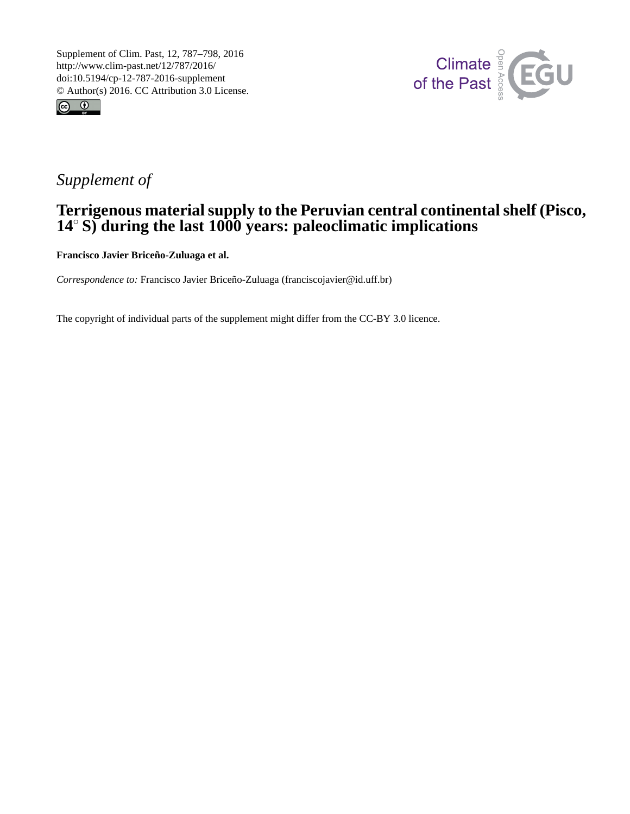



# *Supplement of*

## **Terrigenous material supply to the Peruvian central continental shelf (Pisco, 14**◦ **S) during the last 1000 years: paleoclimatic implications**

**Francisco Javier Briceño-Zuluaga et al.**

*Correspondence to:* Francisco Javier Briceño-Zuluaga (franciscojavier@id.uff.br)

The copyright of individual parts of the supplement might differ from the CC-BY 3.0 licence.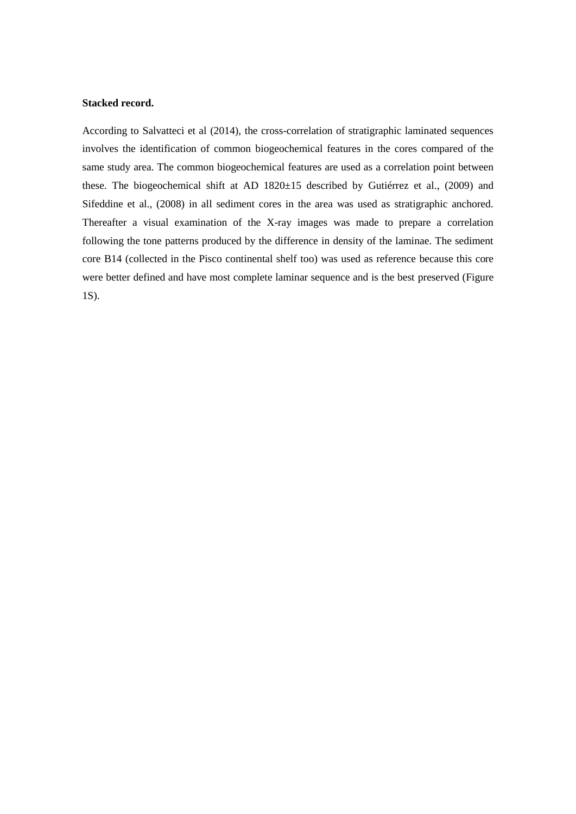#### **Stacked record.**

According to Salvatteci et al (2014), the cross-correlation of stratigraphic laminated sequences involves the identification of common biogeochemical features in the cores compared of the same study area. The common biogeochemical features are used as a correlation point between these. The biogeochemical shift at AD 1820±15 described by Gutiérrez et al., (2009) and Sifeddine et al., (2008) in all sediment cores in the area was used as stratigraphic anchored. Thereafter a visual examination of the X-ray images was made to prepare a correlation following the tone patterns produced by the difference in density of the laminae. The sediment core B14 (collected in the Pisco continental shelf too) was used as reference because this core were better defined and have most complete laminar sequence and is the best preserved (Figure 1S).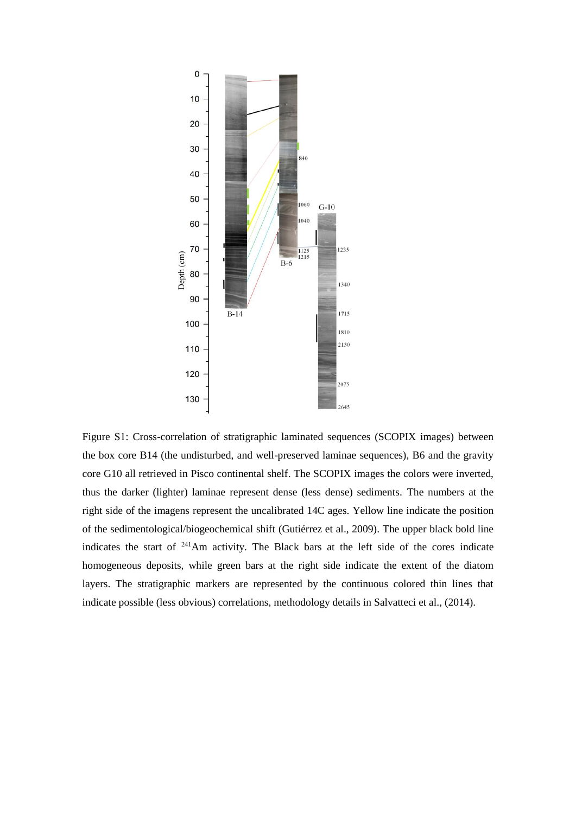

Figure S1: Cross-correlation of stratigraphic laminated sequences (SCOPIX images) between the box core B14 (the undisturbed, and well-preserved laminae sequences), B6 and the gravity core G10 all retrieved in Pisco continental shelf. The SCOPIX images the colors were inverted, thus the darker (lighter) laminae represent dense (less dense) sediments. The numbers at the right side of the imagens represent the uncalibrated 14C ages. Yellow line indicate the position of the sedimentological/biogeochemical shift (Gutiérrez et al., 2009). The upper black bold line indicates the start of <sup>241</sup>Am activity. The Black bars at the left side of the cores indicate homogeneous deposits, while green bars at the right side indicate the extent of the diatom layers. The stratigraphic markers are represented by the continuous colored thin lines that indicate possible (less obvious) correlations, methodology details in Salvatteci et al., (2014).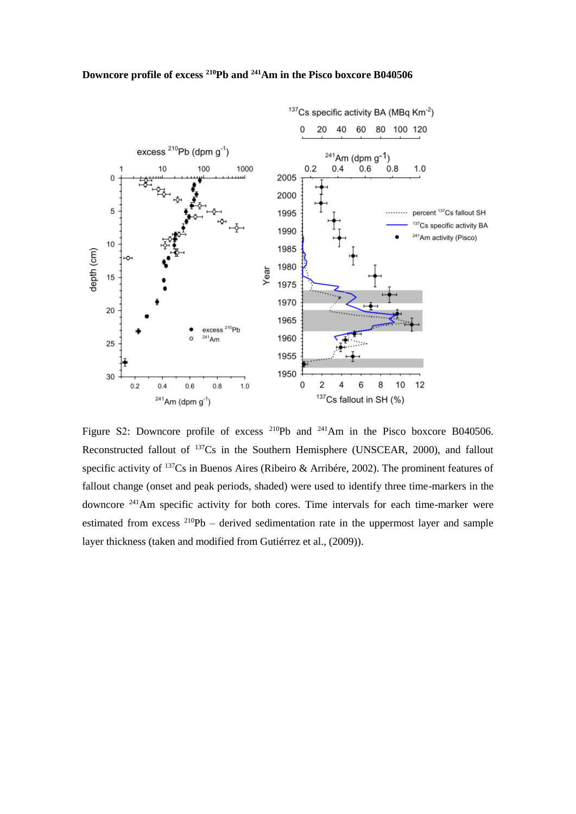

Figure S2: Downcore profile of excess <sup>210</sup>Pb and <sup>241</sup>Am in the Pisco boxcore B040506. Reconstructed fallout of  $137Cs$  in the Southern Hemisphere (UNSCEAR, 2000), and fallout specific activity of <sup>137</sup>Cs in Buenos Aires (Ribeiro & Arribére, 2002). The prominent features of fallout change (onset and peak periods, shaded) were used to identify three time-markers in the downcore <sup>241</sup>Am specific activity for both cores. Time intervals for each time-marker were estimated from excess  $^{210}Pb$  – derived sedimentation rate in the uppermost layer and sample layer thickness (taken and modified from Gutiérrez et al., (2009)).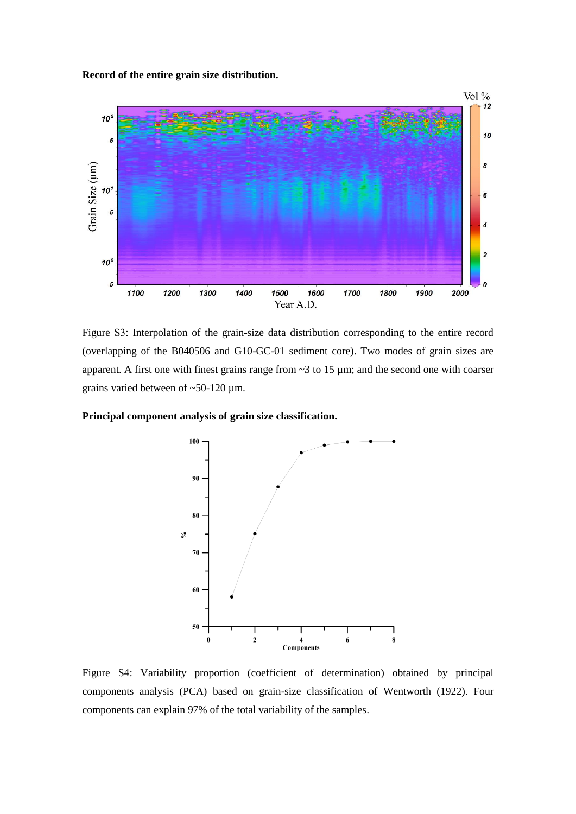**Record of the entire grain size distribution.**



Figure S3: Interpolation of the grain-size data distribution corresponding to the entire record (overlapping of the B040506 and G10-GC-01 sediment core). Two modes of grain sizes are apparent. A first one with finest grains range from ~3 to 15 µm; and the second one with coarser grains varied between of ~50-120 µm.

### **Principal component analysis of grain size classification.**



Figure S4: Variability proportion (coefficient of determination) obtained by principal components analysis (PCA) based on grain-size classification of Wentworth (1922). Four components can explain 97% of the total variability of the samples.